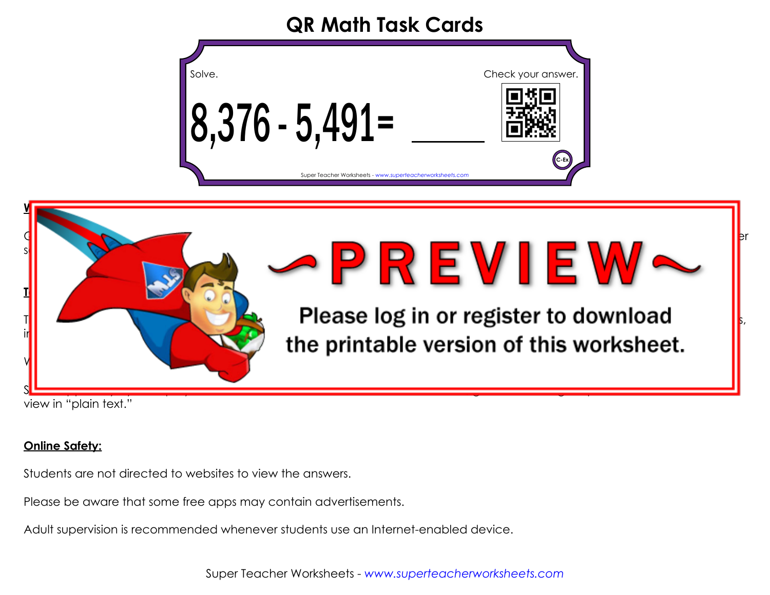#### **QR Math Task Cards**

| Solve.                                                    | Check your answer. |
|-----------------------------------------------------------|--------------------|
| 8,376 - 5,491=                                            |                    |
| Super Teacher Worksheets - www.superteacherworksheets.com | C-Ex               |



view in "plain text."

#### **Online Safety:**

Students are not directed to websites to view the answers.

Please be aware that some free apps may contain advertisements.

Adult supervision is recommended whenever students use an Internet-enabled device.

Super Teacher Worksheets - *www.superteacherworksheets.com*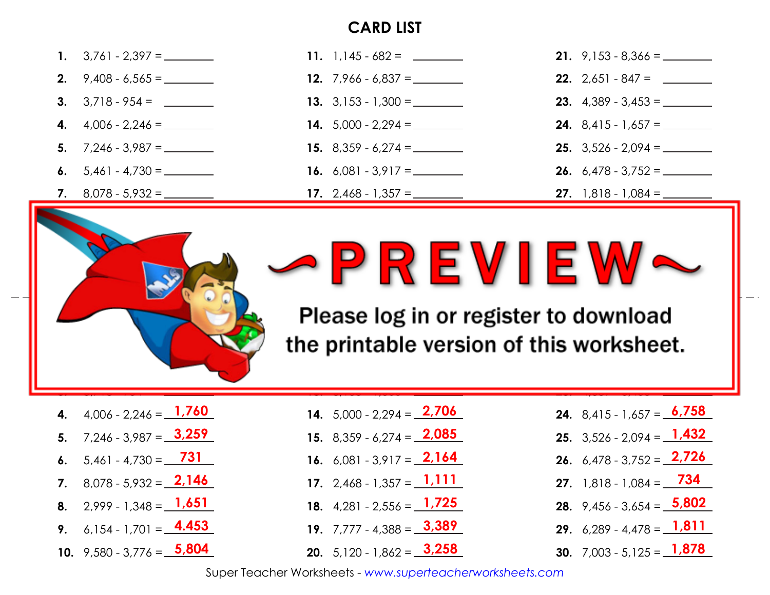#### **CARD LIST**

|                             | <b>12.</b> $7,966 - 6,837 =$        |                              |
|-----------------------------|-------------------------------------|------------------------------|
|                             |                                     | <b>23.</b> $4,389 - 3,453 =$ |
| <b>4.</b> $4,006 - 2,246 =$ |                                     |                              |
|                             |                                     | <b>25.</b> $3,526 - 2,094 =$ |
|                             | <b>16.</b> 6,081 - 3,917 = ________ |                              |
|                             | <b>17.</b> 2,468 - 1,357 = ________ |                              |





**e** printable version of this worksheet. Please log in or register to download

**1,853**

- **4.** 4,006 2,246 = <u>1,760</u>
- **5.**  $7,246 3,987 =$   $\frac{3,259}{ }$
- **6.**  $5,461 4,730 = \_ \_ \_ \_ \_ \_ \_ \_ \_ \_ \_ \_$
- **7.** 8,078 5,932 =  $2,146$
- **8.** 2,999 1,348 =  $1,651$
- **9.** 6,154 1,701 =  $4.453$
- **10.** 9,580 3,776 = 5,804

**14.**  $5,000 - 2,294 = 2,706$ 

**13.** 3,153 - 1,300 =

- **15.** 8,359 6,274 = **2,085**
- **16.** 6,081 3,917 =  $2,164$
- **17.** 2,468 1,357 =  $1,111$
- **18.**  $4,281 2,556 = \_1,725$
- **3,389 19.** 7,777 4,388 =
- **3,258 20.** 5,120 1,862 =

**24.** 8,415 - 1,657 = 6,758

**23.** 4,389 - 3,453 =

**936**

- **25.** 3,526 2,094 = **1,432**
- **26.** 6,478 3,752 = <u>2,726</u>
- **734 27.** 1,818 1,084 =
- **28.** 9,456 3,654 = 5,802
- **1,811 29.** 6,289 4,478 =
- **30.** 7,003 5,125 = 1,878

Super Teacher Worksheets - *www.superteacherworksheets.com*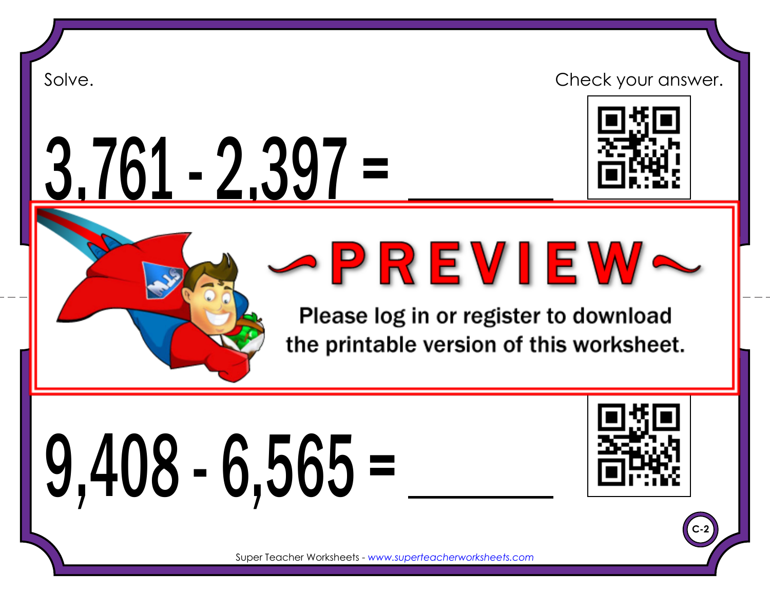3,761 - 2,397 =



Super Teacher Worksheets - *www.superteacherworksheets.com*

Please log in or register to download the printable version of this worksheet.

# 9,408 - 6,565 =



**C-2**

Super Teacher Worksheets - *www.superteacherworksheets.com*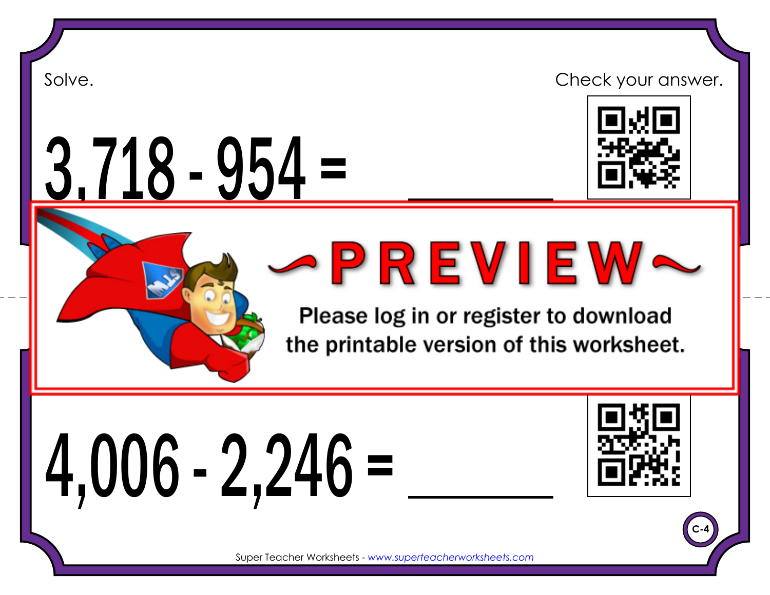3,718 - 954 =



Super Teacher Worksheets - *www.superteacherworksheets.com*

Please log in or register to download the printable version of this worksheet.

# 4,006 - 2,246 =



**C-4**

Super Teacher Worksheets - *www.superteacherworksheets.com*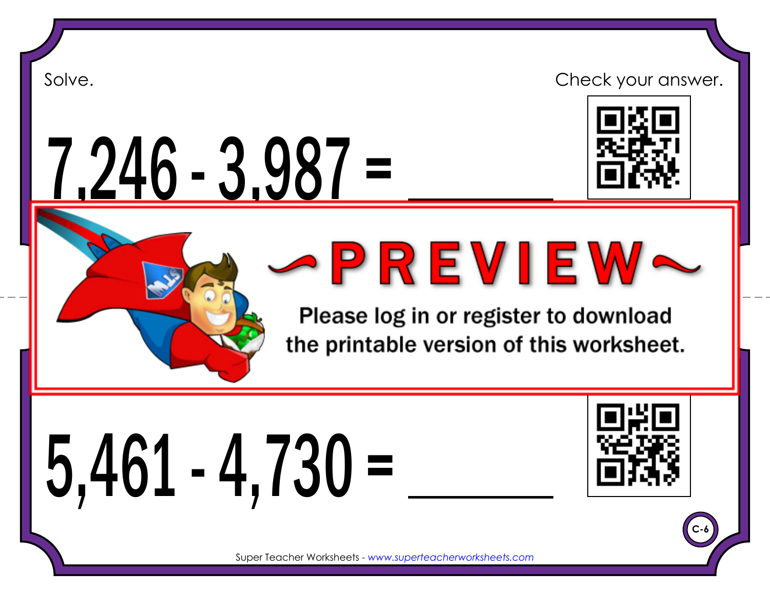7,246 - 3,987 =



Super Teacher Worksheets - *www.superteacherworksheets.com*

Please log in or register to download the printable version of this worksheet.

5,461 - 4,730 =



**C-6**

Super Teacher Worksheets - *www.superteacherworksheets.com*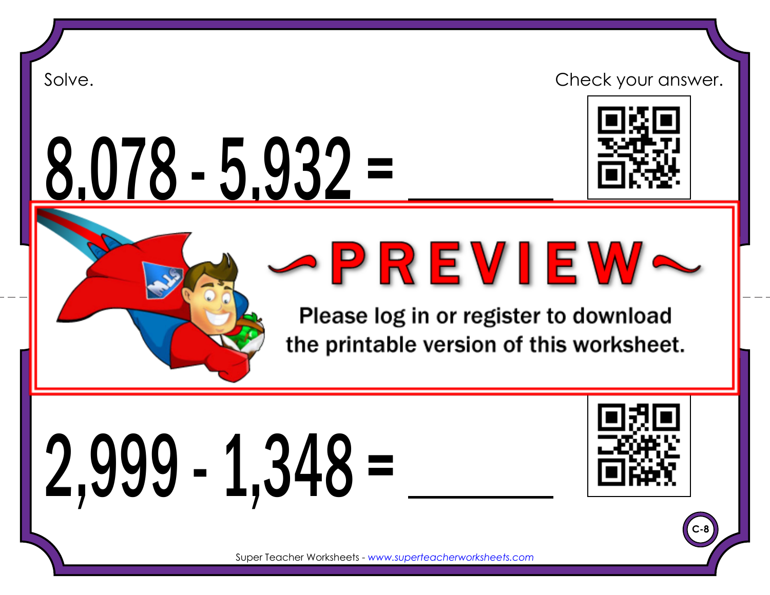8,078 - 5,932 =





Please log in or register to download the printable version of this worksheet.

2,999 - 1,348 =



**C-8**

Super Teacher Worksheets - *www.superteacherworksheets.com*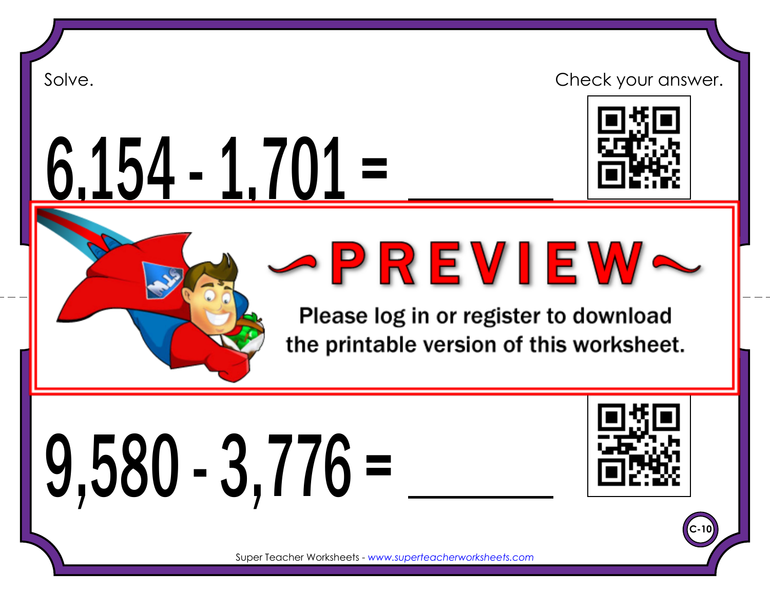

6,154 - 1,701 =



Please log in or register to download the printable version of this worksheet.

9,580 - 3,776 =



**C-10**

Super Teacher Worksheets - *www.superteacherworksheets.com*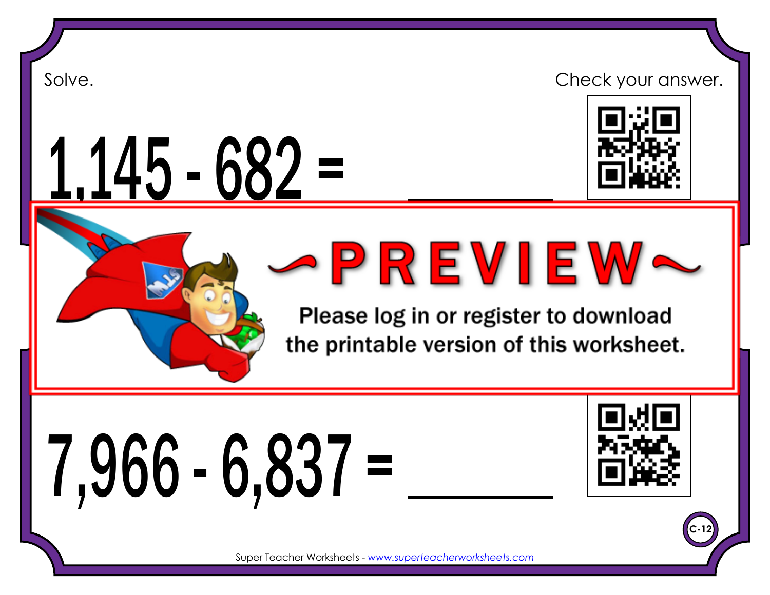1,145 - 682 =





Please log in or register to download the printable version of this worksheet.

7,966 - 6,837 =



**C-12**

Super Teacher Worksheets - *www.superteacherworksheets.com*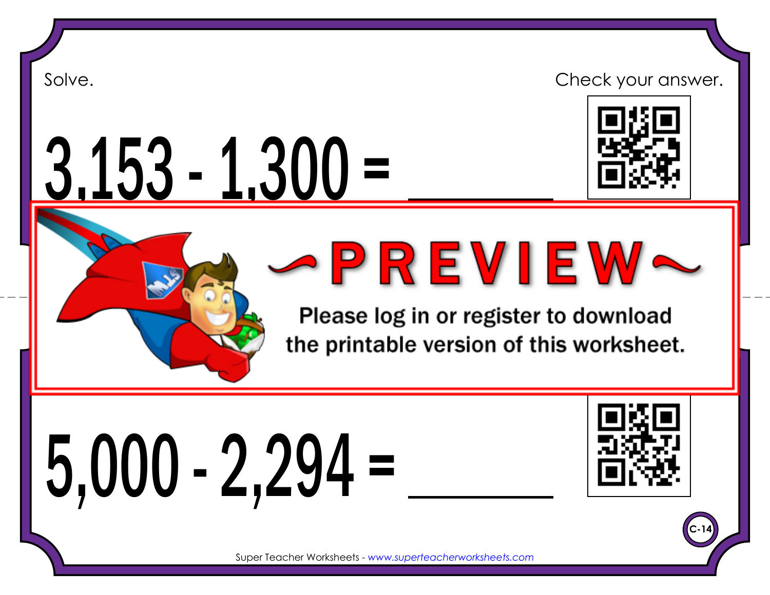3,153 - 1,300 =



Super Teacher Worksheets - *www.superteacherworksheets.com*

Please log in or register to download the printable version of this worksheet.

5,000 - 2,294 =



**C-14**

Super Teacher Worksheets - *www.superteacherworksheets.com*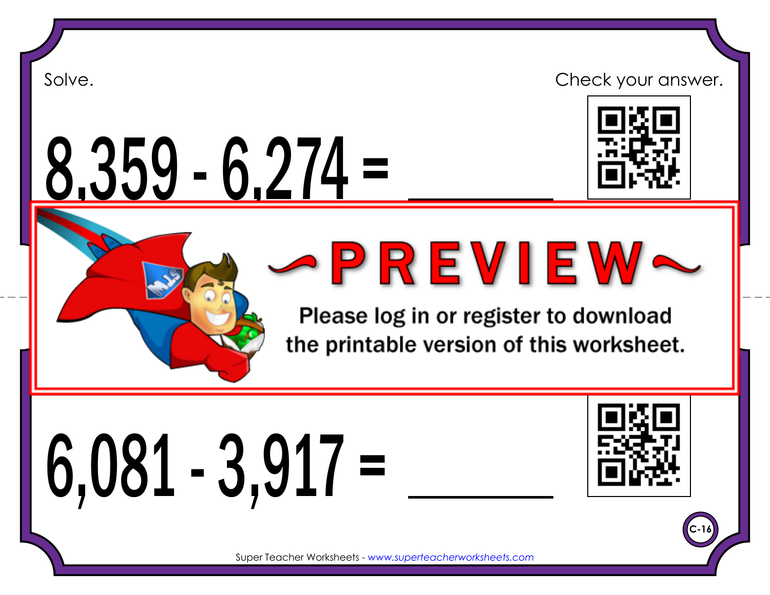8,359 - 6,274 =



Super Teacher Worksheets - *www.superteacherworksheets.com*

Please log in or register to download the printable version of this worksheet.

6,081 - 3,917 =



**C-16**

Super Teacher Worksheets - *www.superteacherworksheets.com*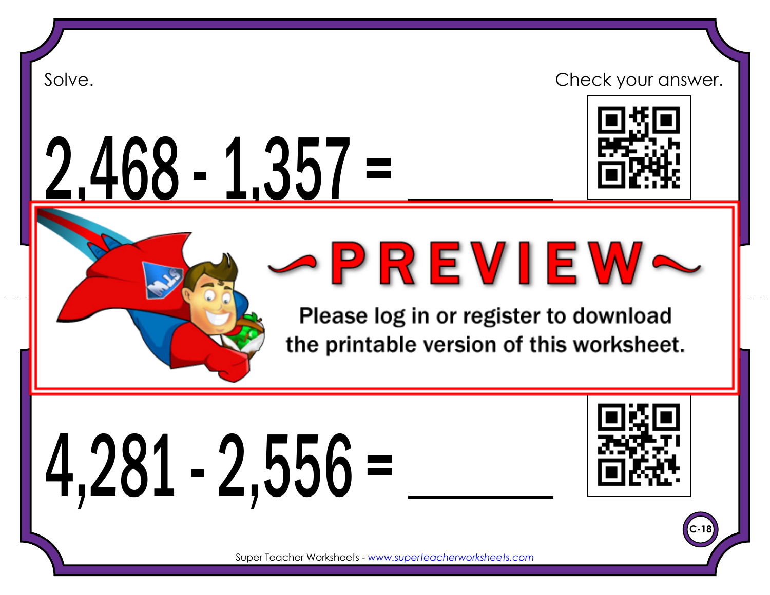2,468 - 1,357 =



Super Teacher Worksheets - *www.superteacherworksheets.com* Please log in or register to download

the printable version of this worksheet.

4,281 - 2,556 =



**C-18**

Super Teacher Worksheets - *www.superteacherworksheets.com*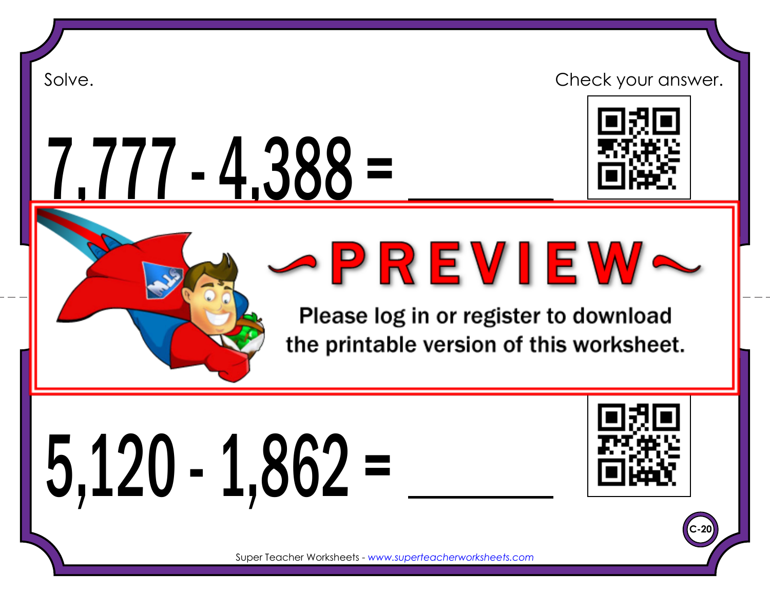7,777 - 4,388 =





Super Teacher Worksheets - *www.superteacherworksheets.com* Please log in or register to download the printable version of this worksheet.

5,120 - 1,862 =



**C-20**

Super Teacher Worksheets - *www.superteacherworksheets.com*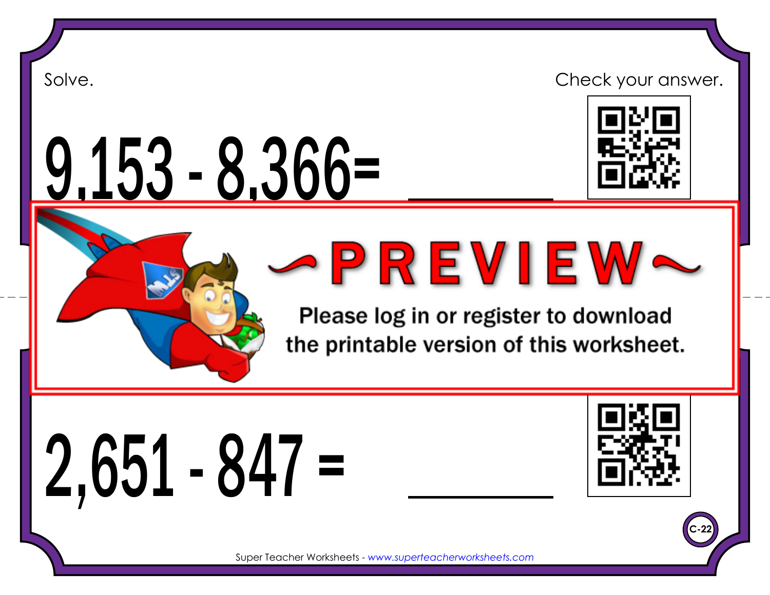# 9,153 - 8,366=



Super Teacher Worksheets - *www.superteacherworksheets.com*

Please log in or register to download the printable version of this worksheet.

2,651 - 847 =



**C-22**

Super Teacher Worksheets - *www.superteacherworksheets.com*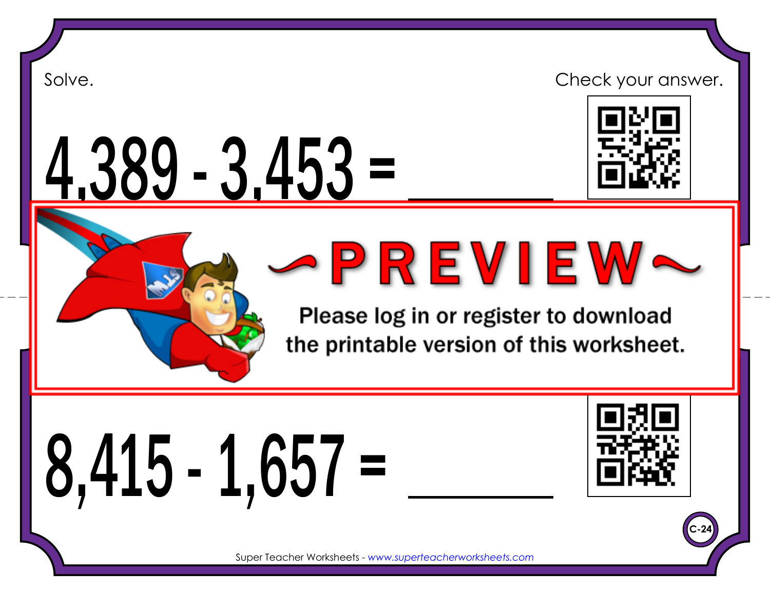## 4,389 - 3,453 =



Super Teacher Worksheets - *www.superteacherworksheets.com*

Please log in or register to download the printable version of this worksheet.

8,415 - 1,657 =



**C-24**

Super Teacher Worksheets - *www.superteacherworksheets.com*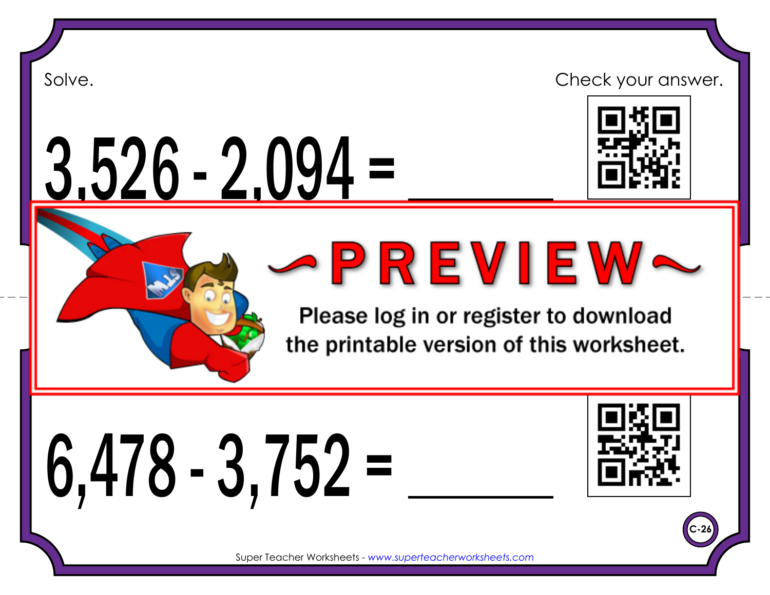#### 3,526 - 2,094 =



Super Teacher Worksheets - *www.superteacherworksheets.com*

Please log in or register to download the printable version of this worksheet.

# 6,478 - 3,752 =



**C-26**

Super Teacher Worksheets - *www.superteacherworksheets.com*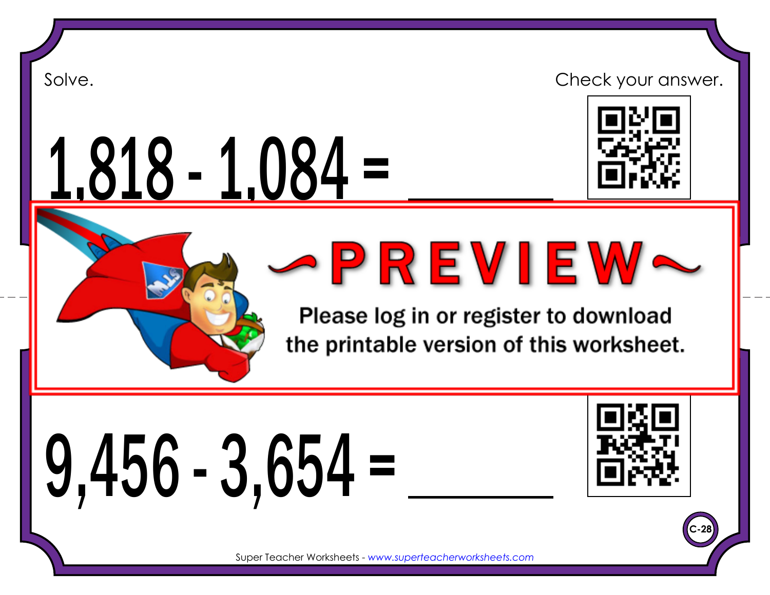1,818 - 1,084 =



Super Teacher Worksheets - *www.superteacherworksheets.com* Please log in or register to download

the printable version of this worksheet.

# 9,456 - 3,654 =



**C-28**

Super Teacher Worksheets - *www.superteacherworksheets.com*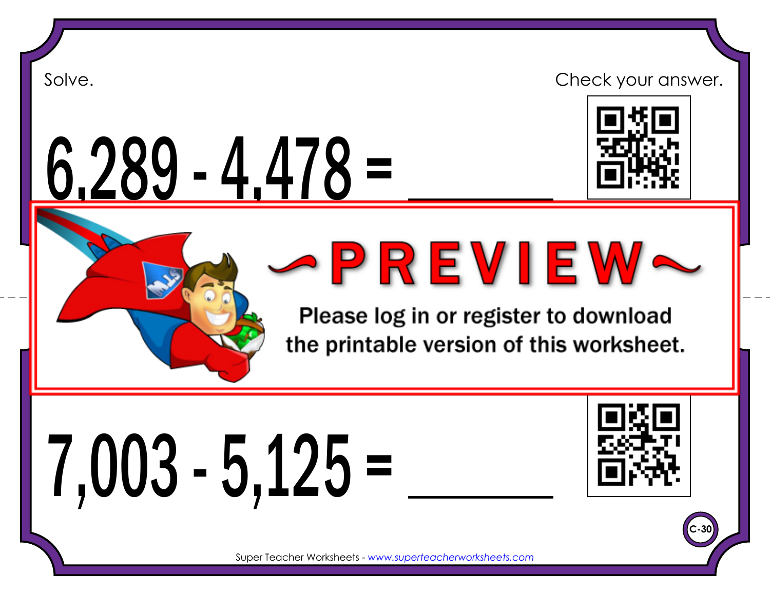# 6,289 - 4,478 =



Super Teacher Worksheets - *www.superteacherworksheets.com*

Please log in or register to download the printable version of this worksheet.

# 7,003 - 5,125 =



**C-30**

Super Teacher Worksheets - *www.superteacherworksheets.com*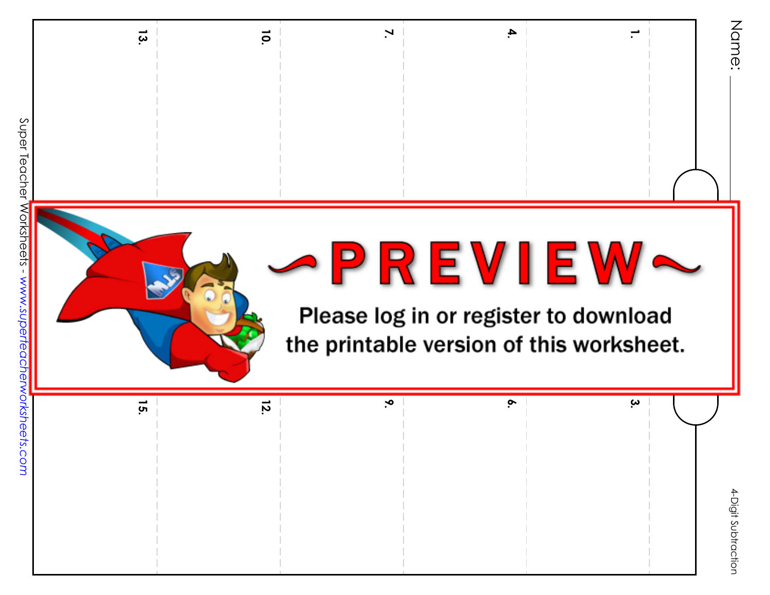